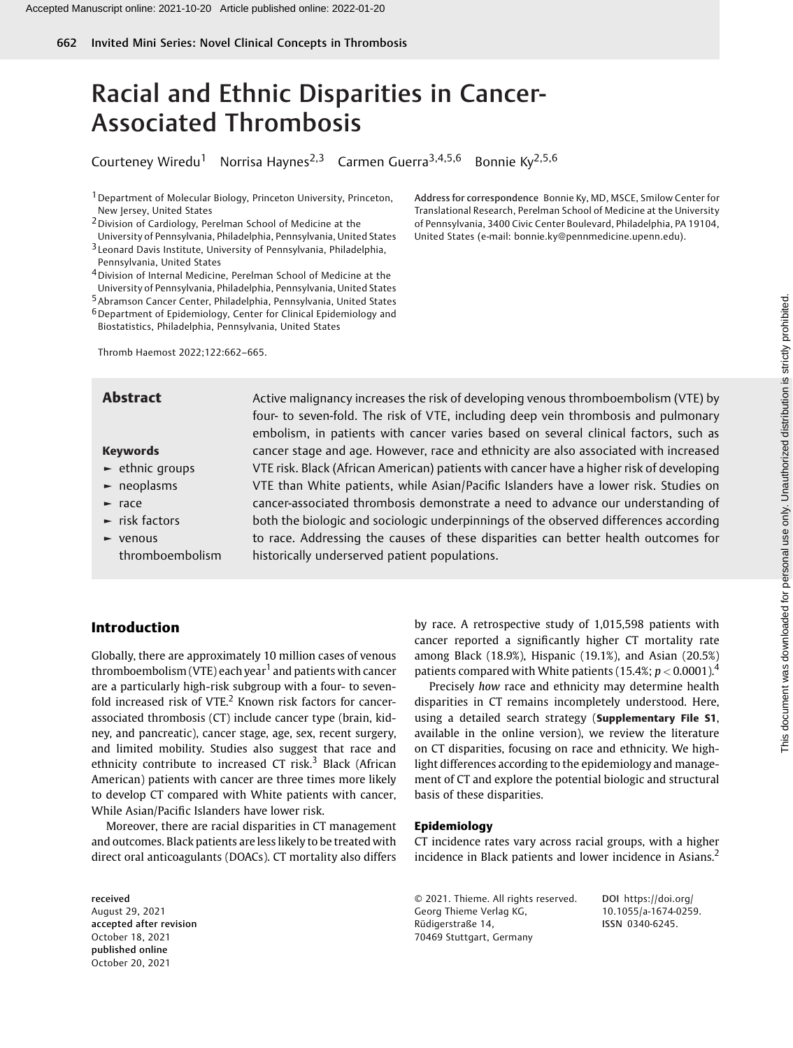# Racial and Ethnic Disparities in Cancer-Associated Thrombosis

Courteney Wiredu<sup>1</sup> Norrisa Haynes<sup>2,3</sup> Carmen Guerra<sup>3,4,5,6</sup> Bonnie Ky<sup>2,5,6</sup>

1Department of Molecular Biology, Princeton University, Princeton, New Jersey, United States

2Division of Cardiology, Perelman School of Medicine at the

University of Pennsylvania, Philadelphia, Pennsylvania, United States

- 3 Leonard Davis Institute, University of Pennsylvania, Philadelphia, Pennsylvania, United States
- 4Division of Internal Medicine, Perelman School of Medicine at the
- University of Pennsylvania, Philadelphia, Pennsylvania, United States
- 5Abramson Cancer Center, Philadelphia, Pennsylvania, United States
- 6Department of Epidemiology, Center for Clinical Epidemiology and Biostatistics, Philadelphia, Pennsylvania, United States

Thromb Haemost 2022;122:662–665.

### Keywords

- ► ethnic groups
- ► neoplasms
- ► race
- ► risk factors
- ► venous thromboembolism

Translational Research, Perelman School of Medicine at the University of Pennsylvania, 3400 Civic Center Boulevard, Philadelphia, PA 19104, United States (e-mail: [bonnie.ky@pennmedicine.upenn.edu](mailto:bonnie.ky@pennmedicine.upenn.edu)).

Address for correspondence Bonnie Ky, MD, MSCE, Smilow Center for

**Abstract** Active malignancy increases the risk of developing venous thromboembolism (VTE) by four- to seven-fold. The risk of VTE, including deep vein thrombosis and pulmonary embolism, in patients with cancer varies based on several clinical factors, such as cancer stage and age. However, race and ethnicity are also associated with increased VTE risk. Black (African American) patients with cancer have a higher risk of developing VTE than White patients, while Asian/Pacific Islanders have a lower risk. Studies on cancer-associated thrombosis demonstrate a need to advance our understanding of both the biologic and sociologic underpinnings of the observed differences according to race. Addressing the causes of these disparities can better health outcomes for historically underserved patient populations.

# Introduction

Globally, there are approximately 10 million cases of venous thromboembolism (VTE) each year<sup>1</sup> and patients with cancer are a particularly high-risk subgroup with a four- to sevenfold increased risk of VTE. $<sup>2</sup>$  Known risk factors for cancer-</sup> associated thrombosis (CT) include cancer type (brain, kidney, and pancreatic), cancer stage, age, sex, recent surgery, and limited mobility. Studies also suggest that race and ethnicity contribute to increased CT risk. $3$  Black (African American) patients with cancer are three times more likely to develop CT compared with White patients with cancer, While Asian/Pacific Islanders have lower risk.

Moreover, there are racial disparities in CT management and outcomes. Black patients are less likely to be treated with direct oral anticoagulants (DOACs). CT mortality also differs

received August 29, 2021 accepted after revision October 18, 2021 published online October 20, 2021

by race. A retrospective study of 1,015,598 patients with cancer reported a significantly higher CT mortality rate among Black (18.9%), Hispanic (19.1%), and Asian (20.5%) patients compared with White patients (15.4%;  $p < 0.0001$ ).<sup>4</sup>

Precisely how race and ethnicity may determine health disparities in CT remains incompletely understood. Here, using a detailed search strategy (Supplementary File S1, available in the online version), we review the literature on CT disparities, focusing on race and ethnicity. We highlight differences according to the epidemiology and management of CT and explore the potential biologic and structural basis of these disparities.

#### Epidemiology

CT incidence rates vary across racial groups, with a higher incidence in Black patients and lower incidence in Asians.<sup>2</sup>

© 2021. Thieme. All rights reserved. Georg Thieme Verlag KG, Rüdigerstraße 14, 70469 Stuttgart, Germany

DOI [https://doi.org/](https://doi.org/10.1055/a-1674-0259) [10.1055/a-1674-0259.](https://doi.org/10.1055/a-1674-0259) ISSN 0340-6245.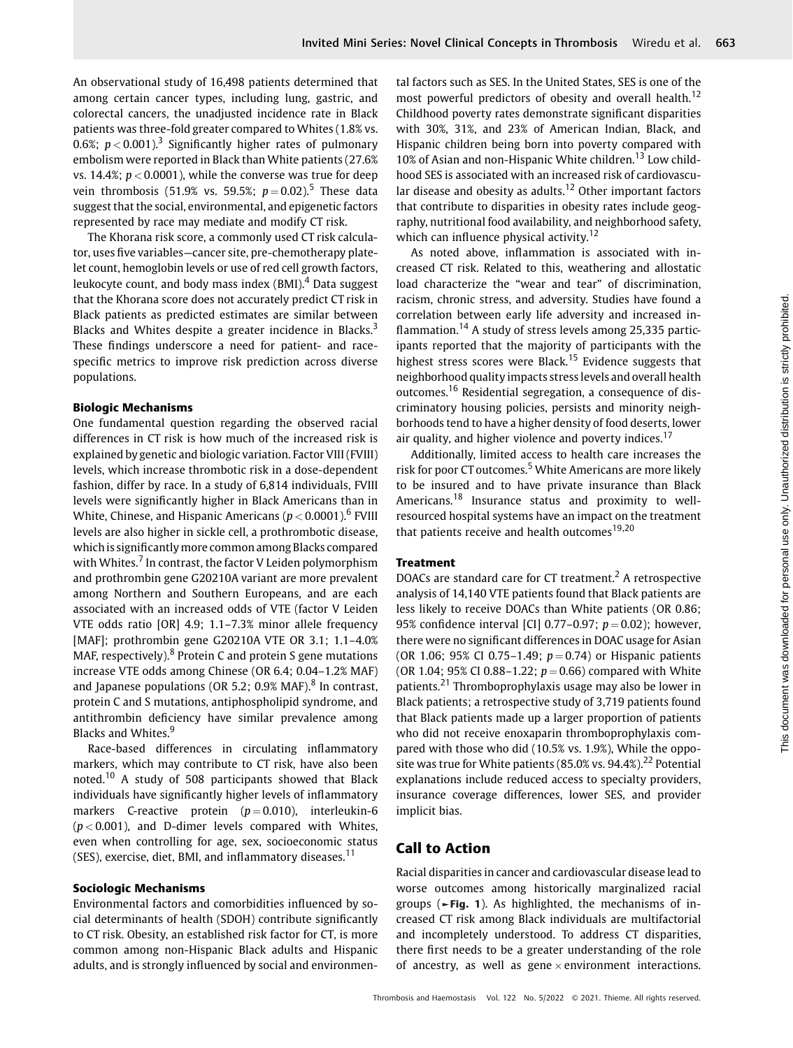An observational study of 16,498 patients determined that among certain cancer types, including lung, gastric, and colorectal cancers, the unadjusted incidence rate in Black patients was three-fold greater compared to Whites (1.8% vs. 0.6%;  $p < 0.001$ ).<sup>3</sup> Significantly higher rates of pulmonary embolism were reported in Black than White patients (27.6% vs. 14.4%;  $p < 0.0001$ ), while the converse was true for deep vein thrombosis (51.9% vs. 59.5%;  $p = 0.02$ ).<sup>5</sup> These data suggest that the social, environmental, and epigenetic factors represented by race may mediate and modify CT risk.

The Khorana risk score, a commonly used CT risk calculator, uses five variables—cancer site, pre-chemotherapy platelet count, hemoglobin levels or use of red cell growth factors, leukocyte count, and body mass index (BMI).<sup>4</sup> Data suggest that the Khorana score does not accurately predict CT risk in Black patients as predicted estimates are similar between Blacks and Whites despite a greater incidence in Blacks.<sup>3</sup> These findings underscore a need for patient- and racespecific metrics to improve risk prediction across diverse populations.

#### Biologic Mechanisms

One fundamental question regarding the observed racial differences in CT risk is how much of the increased risk is explained by genetic and biologic variation. Factor VIII (FVIII) levels, which increase thrombotic risk in a dose-dependent fashion, differ by race. In a study of 6,814 individuals, FVIII levels were significantly higher in Black Americans than in White, Chinese, and Hispanic Americans ( $p < 0.0001$ ).<sup>6</sup> FVIII levels are also higher in sickle cell, a prothrombotic disease, which is significantly more common among Blacks compared with Whites. $<sup>7</sup>$  In contrast, the factor V Leiden polymorphism</sup> and prothrombin gene G20210A variant are more prevalent among Northern and Southern Europeans, and are each associated with an increased odds of VTE (factor V Leiden VTE odds ratio [OR] 4.9; 1.1–7.3% minor allele frequency [MAF]; prothrombin gene G20210A VTE OR 3.1; 1.1–4.0% MAF, respectively). $8$  Protein C and protein S gene mutations increase VTE odds among Chinese (OR 6.4; 0.04–1.2% MAF) and Japanese populations (OR 5.2; 0.9% MAF). $8$  In contrast, protein C and S mutations, antiphospholipid syndrome, and antithrombin deficiency have similar prevalence among Blacks and Whites.<sup>9</sup>

Race-based differences in circulating inflammatory markers, which may contribute to CT risk, have also been noted.<sup>10</sup> A study of 508 participants showed that Black individuals have significantly higher levels of inflammatory markers C-reactive protein  $(p=0.010)$ , interleukin-6  $(p < 0.001)$ , and D-dimer levels compared with Whites, even when controlling for age, sex, socioeconomic status (SES), exercise, diet, BMI, and inflammatory diseases. $11$ 

### Sociologic Mechanisms

Environmental factors and comorbidities influenced by social determinants of health (SDOH) contribute significantly to CT risk. Obesity, an established risk factor for CT, is more common among non-Hispanic Black adults and Hispanic adults, and is strongly influenced by social and environmental factors such as SES. In the United States, SES is one of the most powerful predictors of obesity and overall health.<sup>12</sup> Childhood poverty rates demonstrate significant disparities with 30%, 31%, and 23% of American Indian, Black, and Hispanic children being born into poverty compared with 10% of Asian and non-Hispanic White children.<sup>13</sup> Low childhood SES is associated with an increased risk of cardiovascular disease and obesity as adults.<sup>12</sup> Other important factors that contribute to disparities in obesity rates include geography, nutritional food availability, and neighborhood safety, which can influence physical activity.<sup>12</sup>

As noted above, inflammation is associated with increased CT risk. Related to this, weathering and allostatic load characterize the "wear and tear" of discrimination, racism, chronic stress, and adversity. Studies have found a correlation between early life adversity and increased inflammation.<sup>14</sup> A study of stress levels among 25,335 participants reported that the majority of participants with the highest stress scores were Black.<sup>15</sup> Evidence suggests that neighborhood quality impacts stress levels and overall health outcomes.<sup>16</sup> Residential segregation, a consequence of discriminatory housing policies, persists and minority neighborhoods tend to have a higher density of food deserts, lower air quality, and higher violence and poverty indices.<sup>17</sup>

Additionally, limited access to health care increases the risk for poor CT outcomes.<sup>5</sup> White Americans are more likely to be insured and to have private insurance than Black Americans.<sup>18</sup> Insurance status and proximity to wellresourced hospital systems have an impact on the treatment that patients receive and health outcomes<sup>19,20</sup>

### **Treatment**

DOACs are standard care for CT treatment.<sup>2</sup> A retrospective analysis of 14,140 VTE patients found that Black patients are less likely to receive DOACs than White patients (OR 0.86; 95% confidence interval [CI] 0.77–0.97;  $p = 0.02$ ); however, there were no significant differences in DOAC usage for Asian (OR 1.06; 95% CI 0.75–1.49;  $p = 0.74$ ) or Hispanic patients (OR 1.04; 95% CI 0.88–1.22;  $p = 0.66$ ) compared with White patients.<sup>21</sup> Thromboprophylaxis usage may also be lower in Black patients; a retrospective study of 3,719 patients found that Black patients made up a larger proportion of patients who did not receive enoxaparin thromboprophylaxis compared with those who did (10.5% vs. 1.9%), While the opposite was true for White patients (85.0% vs. 94.4%).<sup>22</sup> Potential explanations include reduced access to specialty providers, insurance coverage differences, lower SES, and provider implicit bias.

### Call to Action

Racial disparities in cancer and cardiovascular disease lead to worse outcomes among historically marginalized racial groups (►Fig. 1). As highlighted, the mechanisms of increased CT risk among Black individuals are multifactorial and incompletely understood. To address CT disparities, there first needs to be a greater understanding of the role of ancestry, as well as gene  $\times$  environment interactions.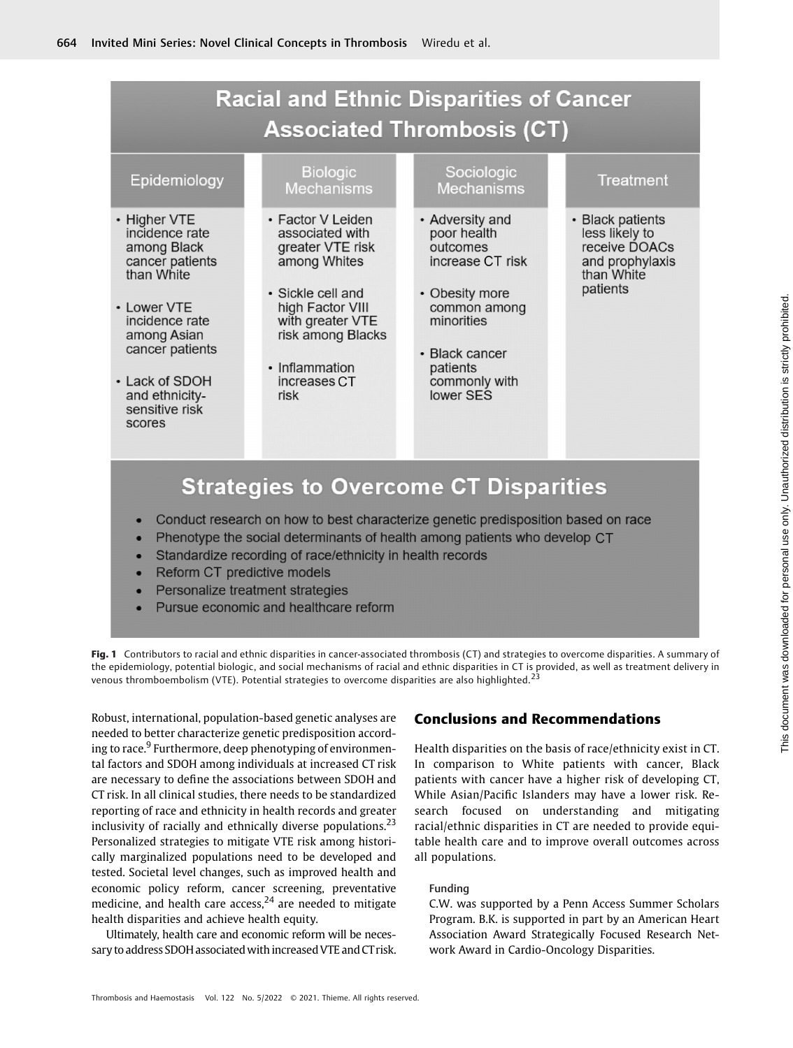# **Racial and Ethnic Disparities of Cancer Associated Thrombosis (CT)**

# Epidemiology

- Higher VTE incidence rate among Black cancer patients than White
- Lower VTE incidence rate among Asian cancer patients
- Lack of SDOH and ethnicitysensitive risk scores

# **Biologic Mechanisms**

- Factor V Leiden associated with greater VTE risk among Whites
- · Sickle cell and high Factor VIII with greater VTE risk among Blacks
- Inflammation increases CT risk

# Sociologic **Mechanisms**

- Adversity and poor health outcomes increase CT risk
- Obesity more common among minorities
- Black cancer patients commonly with lower SES

### **Treatment**

• Black patients less likely to receive DOACs and prophylaxis than White patients

# **Strategies to Overcome CT Disparities**

- Conduct research on how to best characterize genetic predisposition based on race
- Phenotype the social determinants of health among patients who develop CT
- Standardize recording of race/ethnicity in health records
- Reform CT predictive models
- Personalize treatment strategies
- Pursue economic and healthcare reform

Fig. 1 Contributors to racial and ethnic disparities in cancer-associated thrombosis (CT) and strategies to overcome disparities. A summary of the epidemiology, potential biologic, and social mechanisms of racial and ethnic disparities in CT is provided, as well as treatment delivery in venous thromboembolism (VTE). Potential strategies to overcome disparities are also highlighted.<sup>2</sup>

Robust, international, population-based genetic analyses are needed to better characterize genetic predisposition according to race.<sup>9</sup> Furthermore, deep phenotyping of environmental factors and SDOH among individuals at increased CT risk are necessary to define the associations between SDOH and CT risk. In all clinical studies, there needs to be standardized reporting of race and ethnicity in health records and greater inclusivity of racially and ethnically diverse populations. $23$ Personalized strategies to mitigate VTE risk among historically marginalized populations need to be developed and tested. Societal level changes, such as improved health and economic policy reform, cancer screening, preventative medicine, and health care access,<sup>24</sup> are needed to mitigate health disparities and achieve health equity.

Ultimately, health care and economic reform will be necessary to address SDOH associated with increased VTE and CT risk.

# Conclusions and Recommendations

Health disparities on the basis of race/ethnicity exist in CT. In comparison to White patients with cancer, Black patients with cancer have a higher risk of developing CT, While Asian/Pacific Islanders may have a lower risk. Research focused on understanding and mitigating racial/ethnic disparities in CT are needed to provide equitable health care and to improve overall outcomes across all populations.

### Funding

C.W. was supported by a Penn Access Summer Scholars Program. B.K. is supported in part by an American Heart Association Award Strategically Focused Research Network Award in Cardio-Oncology Disparities.